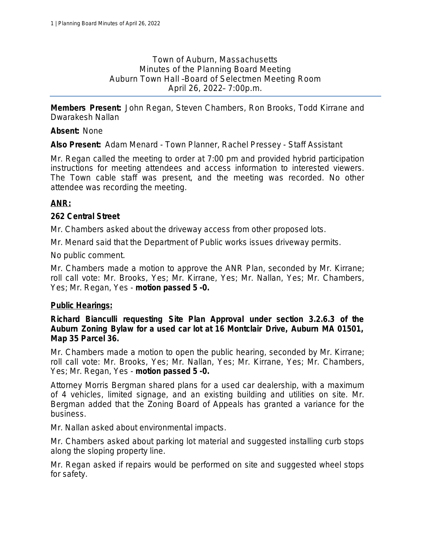Town of Auburn, Massachusetts Minutes of the Planning Board Meeting Auburn Town Hall –Board of Selectmen Meeting Room April 26, 2022– 7:00p.m.

**Members Present:** John Regan, Steven Chambers, Ron Brooks, Todd Kirrane and Dwarakesh Nallan

#### **Absent:** None

**Also Present:** Adam Menard - Town Planner, Rachel Pressey - Staff Assistant

Mr. Regan called the meeting to order at 7:00 pm and provided hybrid participation instructions for meeting attendees and access information to interested viewers. The Town cable staff was present, and the meeting was recorded. No other attendee was recording the meeting.

## **ANR:**

#### **262 Central Street**

Mr. Chambers asked about the driveway access from other proposed lots.

Mr. Menard said that the Department of Public works issues driveway permits.

No public comment.

Mr. Chambers made a motion to approve the ANR Plan, seconded by Mr. Kirrane; *roll call vote: Mr. Brooks, Yes; Mr. Kirrane, Yes; Mr. Nallan, Yes; Mr. Chambers, Yes; Mr. Regan, Yes* - *motion passed 5 -0.*

#### **Public Hearings:**

**Richard Bianculli requesting Site Plan Approval under section 3.2.6.3 of the Auburn Zoning Bylaw for a used car lot at 16 Montclair Drive, Auburn MA 01501, Map 35 Parcel 36.**

Mr. Chambers made a motion to open the public hearing, seconded by Mr. Kirrane; *roll call vote: Mr. Brooks, Yes; Mr. Nallan, Yes; Mr. Kirrane, Yes; Mr. Chambers, Yes; Mr. Regan, Yes* - *motion passed 5 -0.*

Attorney Morris Bergman shared plans for a used car dealership, with a maximum of 4 vehicles, limited signage, and an existing building and utilities on site. Mr. Bergman added that the Zoning Board of Appeals has granted a variance for the business.

Mr. Nallan asked about environmental impacts.

Mr. Chambers asked about parking lot material and suggested installing curb stops along the sloping property line.

Mr. Regan asked if repairs would be performed on site and suggested wheel stops for safety.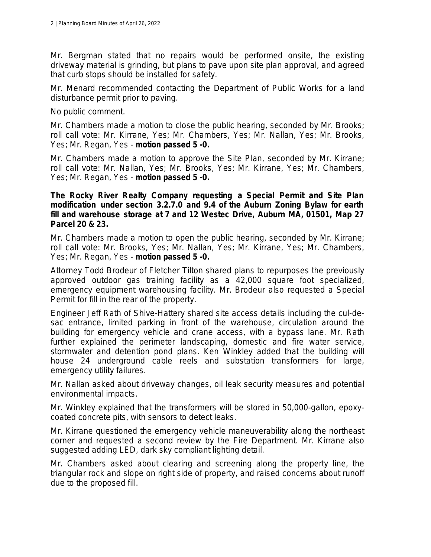Mr. Bergman stated that no repairs would be performed onsite, the existing driveway material is grinding, but plans to pave upon site plan approval, and agreed that curb stops should be installed for safety.

Mr. Menard recommended contacting the Department of Public Works for a land disturbance permit prior to paving.

No public comment.

Mr. Chambers made a motion to close the public hearing, seconded by Mr. Brooks; *roll call vote: Mr. Kirrane, Yes; Mr. Chambers, Yes; Mr. Nallan, Yes; Mr. Brooks, Yes; Mr. Regan, Yes* - *motion passed 5 -0.*

Mr. Chambers made a motion to approve the Site Plan, seconded by Mr. Kirrane; *roll call vote: Mr. Nallan, Yes; Mr. Brooks, Yes; Mr. Kirrane, Yes; Mr. Chambers, Yes; Mr. Regan, Yes* - *motion passed 5 -0.*

**The Rocky River Realty Company requesting a Special Permit and Site Plan modification under section 3.2.7.0 and 9.4 of the Auburn Zoning Bylaw for earth fill and warehouse storage at 7 and 12 Westec Drive, Auburn MA, 01501, Map 27 Parcel 20 & 23.**

Mr. Chambers made a motion to open the public hearing, seconded by Mr. Kirrane; *roll call vote: Mr. Brooks, Yes; Mr. Nallan, Yes; Mr. Kirrane, Yes; Mr. Chambers, Yes; Mr. Regan, Yes* - *motion passed 5 -0.*

Attorney Todd Brodeur of Fletcher Tilton shared plans to repurposes the previously approved outdoor gas training facility as a 42,000 square foot specialized, emergency equipment warehousing facility. Mr. Brodeur also requested a Special Permit for fill in the rear of the property.

Engineer Jeff Rath of Shive-Hattery shared site access details including the cul-desac entrance, limited parking in front of the warehouse, circulation around the building for emergency vehicle and crane access, with a bypass lane. Mr. Rath further explained the perimeter landscaping, domestic and fire water service, stormwater and detention pond plans. Ken Winkley added that the building will house 24 underground cable reels and substation transformers for large, emergency utility failures.

Mr. Nallan asked about driveway changes, oil leak security measures and potential environmental impacts.

Mr. Winkley explained that the transformers will be stored in 50,000-gallon, epoxycoated concrete pits, with sensors to detect leaks.

Mr. Kirrane questioned the emergency vehicle maneuverability along the northeast corner and requested a second review by the Fire Department. Mr. Kirrane also suggested adding LED, dark sky compliant lighting detail.

Mr. Chambers asked about clearing and screening along the property line, the triangular rock and slope on right side of property, and raised concerns about runoff due to the proposed fill.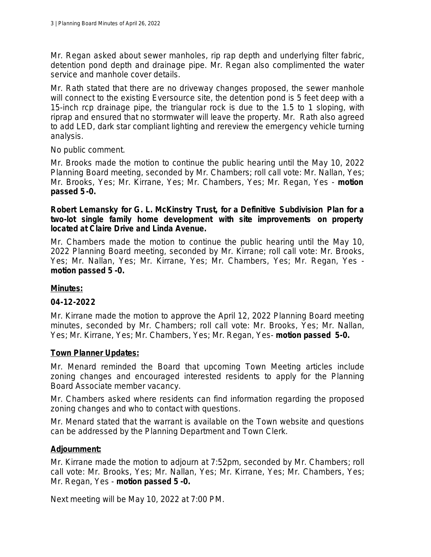Mr. Regan asked about sewer manholes, rip rap depth and underlying filter fabric, detention pond depth and drainage pipe. Mr. Regan also complimented the water service and manhole cover details.

Mr. Rath stated that there are no driveway changes proposed, the sewer manhole will connect to the existing Eversource site, the detention pond is 5 feet deep with a 15-inch rcp drainage pipe, the triangular rock is due to the 1.5 to 1 sloping, with riprap and ensured that no stormwater will leave the property. Mr. Rath also agreed to add LED, dark star compliant lighting and rereview the emergency vehicle turning analysis.

No public comment.

Mr. Brooks made the motion to continue the public hearing until the May 10, 2022 Planning Board meeting, seconded by Mr. Chambers; *roll call vote: Mr. Nallan, Yes; Mr. Brooks, Yes; Mr. Kirrane, Yes; Mr. Chambers, Yes; Mr. Regan, Yes* - *motion passed 5-0.*

**Robert Lemansky for G. L. McKinstry Trust, for a Definitive Subdivision Plan for a two-lot single family home development with site improvements on property located at Claire Drive and Linda Avenue.**

Mr. Chambers made the motion to continue the public hearing until the May 10, 2022 Planning Board meeting, seconded by Mr. Kirrane; *roll call vote: Mr. Brooks, Yes; Mr. Nallan, Yes; Mr. Kirrane, Yes; Mr. Chambers, Yes; Mr. Regan, Yes motion passed 5 -0.*

## **Minutes:**

## **04-12-2022**

Mr. Kirrane made the motion to approve the April 12, 2022 Planning Board meeting minutes, seconded by Mr. Chambers; *roll call vote: Mr. Brooks, Yes; Mr. Nallan, Yes; Mr. Kirrane, Yes; Mr. Chambers, Yes; Mr. Regan, Yes*- *motion passed 5-0.*

## **Town Planner Updates:**

Mr. Menard reminded the Board that upcoming Town Meeting articles include zoning changes and encouraged interested residents to apply for the Planning Board Associate member vacancy.

Mr. Chambers asked where residents can find information regarding the proposed zoning changes and who to contact with questions.

Mr. Menard stated that the warrant is available on the Town website and questions can be addressed by the Planning Department and Town Clerk.

## **Adjournment:**

Mr. Kirrane made the motion to adjourn at 7:52pm, seconded by Mr. Chambers; *roll call vote: Mr. Brooks, Yes; Mr. Nallan, Yes; Mr. Kirrane, Yes; Mr. Chambers, Yes; Mr. Regan, Yes* - *motion passed 5 -0.*

Next meeting will be May 10, 2022 at 7:00 PM.